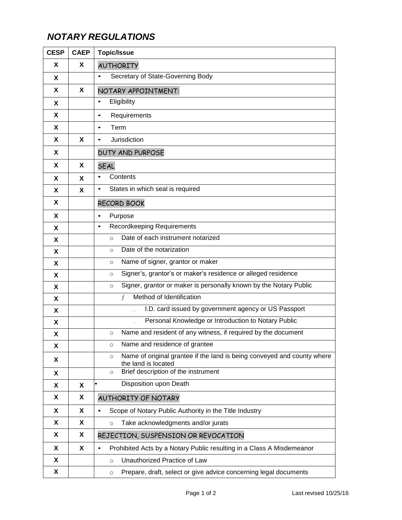## *NOTARY REGULATIONS*

| <b>CESP</b> | <b>CAEP</b> | <b>Topic/Issue</b>                                                                                        |
|-------------|-------------|-----------------------------------------------------------------------------------------------------------|
| X           | X           | <b>AUTHORITY</b>                                                                                          |
| X           |             | Secretary of State-Governing Body<br>$\bullet$                                                            |
| X           | X           | NOTARY APPOINTMENT:                                                                                       |
| X           |             | Eligibility<br>$\bullet$                                                                                  |
| X           |             | Requirements<br>$\bullet$                                                                                 |
| X           |             | Term<br>$\bullet$                                                                                         |
| X           | X           | Jurisdiction<br>$\bullet$                                                                                 |
| X           |             | <b>DUTY AND PURPOSE</b>                                                                                   |
| X           | X           | <b>SEAL</b>                                                                                               |
| X           | X           | Contents<br>$\bullet$                                                                                     |
| X           | X           | States in which seal is required<br>$\bullet$                                                             |
| X           |             | <b>RECORD BOOK</b>                                                                                        |
| X           |             | Purpose<br>$\bullet$                                                                                      |
| X           |             | Recordkeeping Requirements<br>$\bullet$                                                                   |
| X           |             | Date of each instrument notarized<br>$\Omega$                                                             |
| X           |             | Date of the notarization<br>$\circ$                                                                       |
| X           |             | Name of signer, grantor or maker<br>$\circ$                                                               |
| X           |             | Signer's, grantor's or maker's residence or alleged residence<br>$\circ$                                  |
| X           |             | Signer, grantor or maker is personally known by the Notary Public<br>$\circ$                              |
| X           |             | Method of Identification<br>f                                                                             |
| X           |             | I.D. card issued by government agency or US Passport                                                      |
| X           |             | Personal Knowledge or Introduction to Notary Public<br>$\cdots$                                           |
| X           |             | Name and resident of any witness, if required by the document<br>$\circ$                                  |
| X           |             | Name and residence of grantee<br>$\circ$                                                                  |
| X           |             | Name of original grantee if the land is being conveyed and county where<br>$\circ$<br>the land is located |
| X           |             | Brief description of the instrument<br>$\circ$                                                            |
| X           | X           | Disposition upon Death                                                                                    |
| X           | X           | AUTHORITY OF NOTARY                                                                                       |
| X           | X           | Scope of Notary Public Authority in the Title Industry<br>$\bullet$                                       |
| X           | X           | Take acknowledgments and/or jurats<br>$\circ$                                                             |
| X           | X           | REJECTION, SUSPENSION OR REVOCATION                                                                       |
| X           | X           | Prohibited Acts by a Notary Public resulting in a Class A Misdemeanor<br>$\bullet$                        |
| X           |             | Unauthorized Practice of Law<br>$\circ$                                                                   |
| X           |             | Prepare, draft, select or give advice concerning legal documents<br>$\circ$                               |